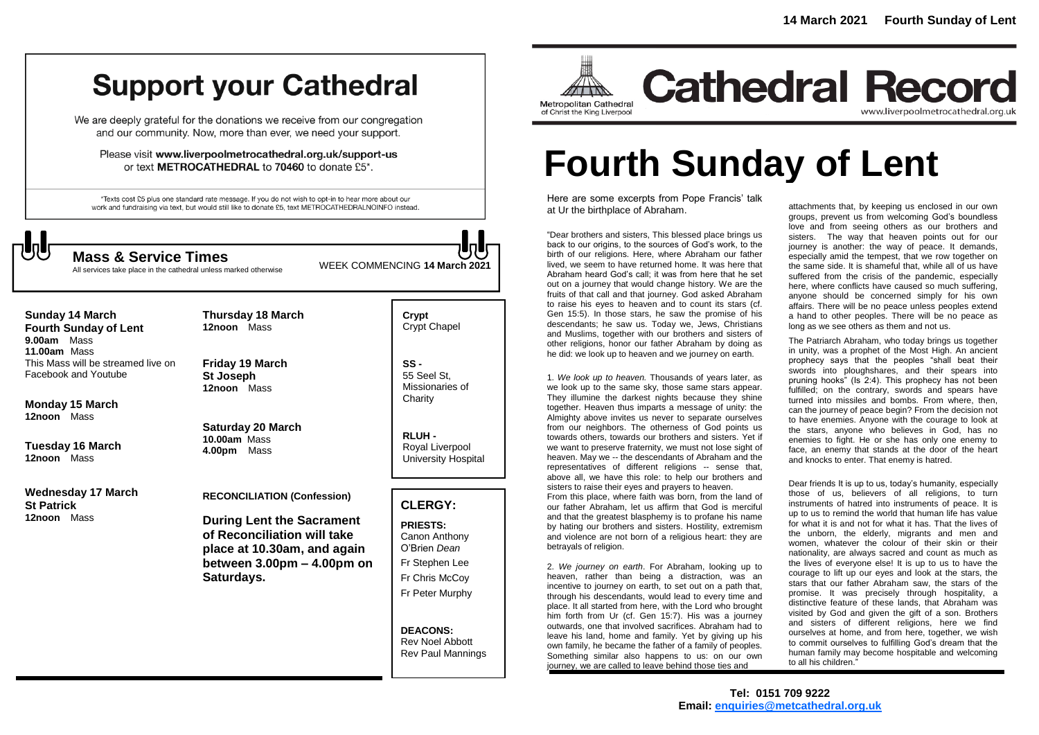# **Support your Cathedral**

We are deeply grateful for the donations we receive from our congregation and our community. Now, more than ever, we need your support.

Please visit www.liverpoolmetrocathedral.org.uk/support-us or text METROCATHEDRAL to 70460 to donate £5\*.

\*Texts cost £5 plus one standard rate message. If you do not wish to opt-in to hear more about our work and fundraising via text, but would still like to donate £5, text METROCATHEDRALNOINFO instead.



All services take place in the cathedral unless marked otherwise

WEEK COMMENCING **<sup>14</sup> March <sup>2021</sup> Mass & Service Times**

**Sunday 14 March Fourth Sunday of Lent 9.00am** Mass **11.00am** Mass This Mass will be streamed live on Facebook and Youtube

**Monday 15 March 12noon** Mass

**Tuesday 16 March 12noon** Mass

**Wednesday 17 March St Patrick 12noon** Mass

**Friday 19 March St Joseph 12noon** Mass

**Thursday 18 March 12noon** Mass

**Saturday 20 March 10.00am** Mass **4.00pm** Mass

**RECONCILIATION (Confession)** 

**During Lent the Sacrament of Reconciliation will take place at 10.30am, and again between 3.00pm – 4.00pm on Saturdays.**

**Crypt**  Crypt Chapel

**SS -** 55 Seel St, Missionaries of **Charity** 

**RLUH -** Royal Liverpool University Hospital

# **CLERGY:**

**PRIESTS:** Canon Anthony O'Brien *Dean* Fr Stephen Lee Fr Chris McCoy Fr Peter Murphy

**DEACONS:** Rev Noel Abbott Rev Paul Mannings



**Cathedral Record** www.liverpoolmetrocathedral.org.uk

# **Fourth Sunday of Lent**

Here are some excerpts from Pope Francis' talk at Ur the birthplace of Abraham.

"Dear brothers and sisters, This blessed place brings us back to our origins, to the sources of God's work, to the birth of our religions. Here, where Abraham our father lived, we seem to have returned home. It was here that Abraham heard God's call; it was from here that he set out on a journey that would change history. We are the fruits of that call and that journey. God asked Abraham to raise his eyes to heaven and to count its stars (cf. Gen 15:5). In those stars, he saw the promise of his descendants; he saw us. Today we, Jews, Christians and Muslims, together with our brothers and sisters of other religions, honor our father Abraham by doing as he did: we look up to heaven and we journey on earth.

1. *We look up to heaven.* Thousands of years later, as we look up to the same sky, those same stars appear. They illumine the darkest nights because they shine together. Heaven thus imparts a message of unity: the Almighty above invites us never to separate ourselves from our neighbors. The otherness of God points us towards others, towards our brothers and sisters. Yet if we want to preserve fraternity, we must not lose sight of heaven. May we -- the descendants of Abraham and the representatives of different religions -- sense that, above all, we have this role: to help our brothers and sisters to raise their eyes and prayers to heaven. From this place, where faith was born, from the land of our father Abraham, let us affirm that God is merciful and that the greatest blasphemy is to profane his name by hating our brothers and sisters. Hostility, extremism and violence are not born of a religious heart: they are betrayals of religion.

2. *We journey on earth*. For Abraham, looking up to heaven, rather than being a distraction, was an incentive to journey on earth, to set out on a path that, through his descendants, would lead to every time and place. It all started from here, with the Lord who brought him forth from Ur (cf. Gen 15:7). His was a journey outwards, one that involved sacrifices. Abraham had to leave his land, home and family. Yet by giving up his own family, he became the father of a family of peoples. Something similar also happens to us: on our own journey, we are called to leave behind those ties and

attachments that, by keeping us enclosed in our own groups, prevent us from welcoming God's boundless love and from seeing others as our brothers and sisters. The way that heaven points out for our journey is another: the way of peace. It demands, especially amid the tempest, that we row together on the same side. It is shameful that, while all of us have suffered from the crisis of the pandemic, especially here, where conflicts have caused so much suffering, anyone should be concerned simply for his own affairs. There will be no peace unless peoples extend a hand to other peoples. There will be no peace as long as we see others as them and not us.

The Patriarch Abraham, who today brings us together in unity, was a prophet of the Most High. An ancient prophecy says that the peoples "shall beat their swords into ploughshares, and their spears into pruning hooks" (Is 2:4). This prophecy has not been fulfilled; on the contrary, swords and spears have turned into missiles and bombs. From where, then, can the journey of peace begin? From the decision not to have enemies. Anyone with the courage to look at the stars, anyone who believes in God, has no enemies to fight. He or she has only one enemy to face, an enemy that stands at the door of the heart and knocks to enter. That enemy is hatred.

Dear friends It is up to us, today's humanity, especially those of us, believers of all religions, to turn instruments of hatred into instruments of peace. It is up to us to remind the world that human life has value for what it is and not for what it has. That the lives of the unborn, the elderly, migrants and men and women, whatever the colour of their skin or their nationality, are always sacred and count as much as the lives of everyone else! It is up to us to have the courage to lift up our eyes and look at the stars, the stars that our father Abraham saw, the stars of the promise. It was precisely through hospitality, a distinctive feature of these lands, that Abraham was visited by God and given the gift of a son. Brothers and sisters of different religions, here we find ourselves at home, and from here, together, we wish to commit ourselves to fulfilling God's dream that the human family may become hospitable and welcoming to all his children."